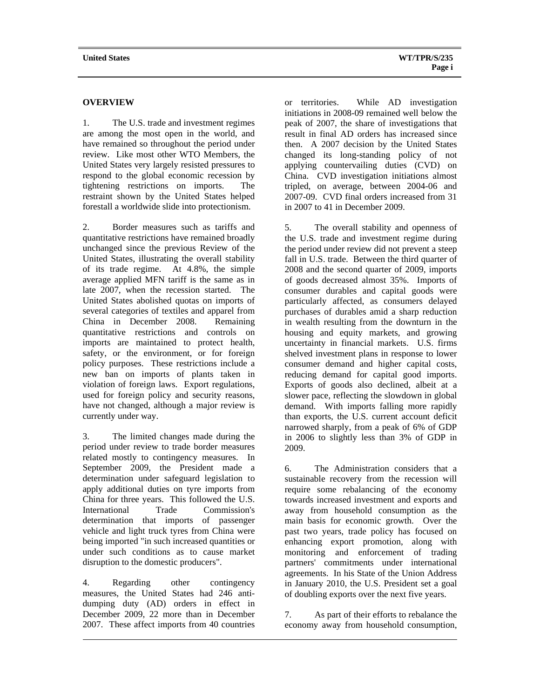## **OVERVIEW**

1. The U.S. trade and investment regimes are among the most open in the world, and have remained so throughout the period under review. Like most other WTO Members, the United States very largely resisted pressures to respond to the global economic recession by tightening restrictions on imports. The restraint shown by the United States helped forestall a worldwide slide into protectionism.

2. Border measures such as tariffs and quantitative restrictions have remained broadly unchanged since the previous Review of the United States, illustrating the overall stability of its trade regime. At 4.8%, the simple average applied MFN tariff is the same as in late 2007, when the recession started. The United States abolished quotas on imports of several categories of textiles and apparel from China in December 2008. Remaining quantitative restrictions and controls on imports are maintained to protect health, safety, or the environment, or for foreign policy purposes. These restrictions include a new ban on imports of plants taken in violation of foreign laws. Export regulations, used for foreign policy and security reasons, have not changed, although a major review is currently under way.

3. The limited changes made during the period under review to trade border measures related mostly to contingency measures. In September 2009, the President made a determination under safeguard legislation to apply additional duties on tyre imports from China for three years. This followed the U.S. International Trade Commission's determination that imports of passenger vehicle and light truck tyres from China were being imported "in such increased quantities or under such conditions as to cause market disruption to the domestic producers".

4. Regarding other contingency measures, the United States had 246 antidumping duty (AD) orders in effect in December 2009, 22 more than in December 2007. These affect imports from 40 countries or territories. While AD investigation initiations in 2008-09 remained well below the peak of 2007, the share of investigations that result in final AD orders has increased since then. A 2007 decision by the United States changed its long-standing policy of not applying countervailing duties (CVD) on China. CVD investigation initiations almost tripled, on average, between 2004-06 and 2007-09. CVD final orders increased from 31 in 2007 to 41 in December 2009.

5. The overall stability and openness of the U.S. trade and investment regime during the period under review did not prevent a steep fall in U.S. trade. Between the third quarter of 2008 and the second quarter of 2009, imports of goods decreased almost 35%. Imports of consumer durables and capital goods were particularly affected, as consumers delayed purchases of durables amid a sharp reduction in wealth resulting from the downturn in the housing and equity markets, and growing uncertainty in financial markets. U.S. firms shelved investment plans in response to lower consumer demand and higher capital costs, reducing demand for capital good imports. Exports of goods also declined, albeit at a slower pace, reflecting the slowdown in global demand. With imports falling more rapidly than exports, the U.S. current account deficit narrowed sharply, from a peak of 6% of GDP in 2006 to slightly less than 3% of GDP in 2009.

6. The Administration considers that a sustainable recovery from the recession will require some rebalancing of the economy towards increased investment and exports and away from household consumption as the main basis for economic growth. Over the past two years, trade policy has focused on enhancing export promotion, along with monitoring and enforcement of trading partners' commitments under international agreements. In his State of the Union Address in January 2010, the U.S. President set a goal of doubling exports over the next five years.

7. As part of their efforts to rebalance the economy away from household consumption,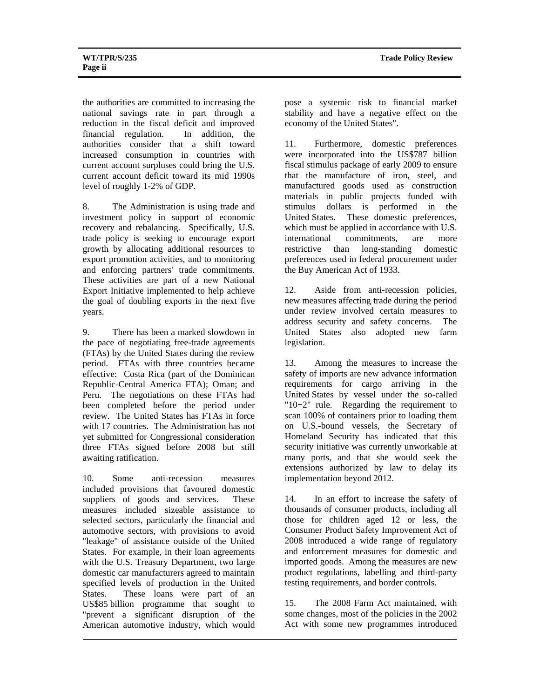the authorities are committed to increasing the national savings rate in part through a reduction in the fiscal deficit and improved financial regulation. In addition, the authorities consider that a shift toward increased consumption in countries with current account surpluses could bring the U.S. current account deficit toward its mid 1990s level of roughly 1-2% of GDP.

8. The Administration is using trade and investment policy in support of economic recovery and rebalancing. Specifically, U.S. trade policy is seeking to encourage export growth by allocating additional resources to export promotion activities, and to monitoring and enforcing partners' trade commitments. These activities are part of a new National Export Initiative implemented to help achieve the goal of doubling exports in the next five years.

9. There has been a marked slowdown in the pace of negotiating free-trade agreements (FTAs) by the United States during the review period. FTAs with three countries became effective: Costa Rica (part of the Dominican Republic-Central America FTA); Oman; and Peru. The negotiations on these FTAs had been completed before the period under review. The United States has FTAs in force with 17 countries. The Administration has not yet submitted for Congressional consideration three FTAs signed before 2008 but still awaiting ratification.

10. Some anti-recession measures included provisions that favoured domestic suppliers of goods and services. These measures included sizeable assistance to selected sectors, particularly the financial and automotive sectors, with provisions to avoid "leakage" of assistance outside of the United States. For example, in their loan agreements with the U.S. Treasury Department, two large domestic car manufacturers agreed to maintain specified levels of production in the United States. These loans were part of an US\$85 billion programme that sought to "prevent a significant disruption of the American automotive industry, which would pose a systemic risk to financial market stability and have a negative effect on the economy of the United States".

11. Furthermore, domestic preferences were incorporated into the US\$787 billion fiscal stimulus package of early 2009 to ensure that the manufacture of iron, steel, and manufactured goods used as construction materials in public projects funded with stimulus dollars is performed in the United States. These domestic preferences, which must be applied in accordance with U.S. international commitments, are more restrictive than long-standing domestic preferences used in federal procurement under the Buy American Act of 1933.

12. Aside from anti-recession policies, new measures affecting trade during the period under review involved certain measures to address security and safety concerns. The United States also adopted new farm legislation.

13. Among the measures to increase the safety of imports are new advance information requirements for cargo arriving in the United States by vessel under the so-called "10+2" rule. Regarding the requirement to scan 100% of containers prior to loading them on U.S.-bound vessels, the Secretary of Homeland Security has indicated that this security initiative was currently unworkable at many ports, and that she would seek the extensions authorized by law to delay its implementation beyond 2012.

14. In an effort to increase the safety of thousands of consumer products, including all those for children aged 12 or less, the Consumer Product Safety Improvement Act of 2008 introduced a wide range of regulatory and enforcement measures for domestic and imported goods. Among the measures are new product regulations, labelling and third-party testing requirements, and border controls.

15. The 2008 Farm Act maintained, with some changes, most of the policies in the 2002 Act with some new programmes introduced